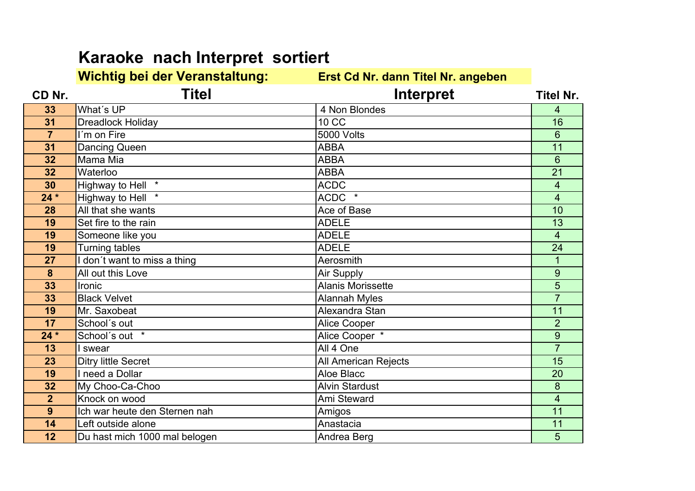## **Karaoke nach Interpret sortiert**

**Wichtig bei der Veranstaltung: Erst Cd Nr. dann Titel Nr. angebenCD Nr. Titel Interpret Titel Nr. 33**What's UP 4 Non Blondes<br>Dreadlock Holiday 10 CC 4 $\overline{16}$ **31**1 Dreadlock Holiday 10 CC 10 Dreadlock Holiday 16<br>- Press Fisc **77** I<sup>'</sup>m on Fire 5000 Volts 6 $\overline{11}$ **31Dancing Queen ABBA**<br>
Mama Mia ABBA<br>
Mama Mia ABBA A 11 **32** Mama Mia ABBA**ABBA** 621 **32**2 Waterloo ABBA  $\overline{A}$  21 **30**Highway to Hell \* ACDC<br>
Highway to Hell \* ACDC \* ACDC \* 4 4**24 \***Highway to Hell \* ACDC \* ACDC \* ACDC \* ACDC \* ACDC \* ACDC \* ACDC \* ACDC \* ACC + ACC + ACC + ACC + ACC + ACC + ACC + ACC + ACC + ACC + ACC + ACC + ACC + ACC + ACC + ACC + ACC + ACC + ACC + ACC + ACC + ACC + ACC + ACC + ACC  $10$ **28**All that she wants **Ace of Base** Ace of Base **10**<br>
Ace of Base **10**<br>
ADELE 13 **19**Set fire to the rain ADELE<br>
Someone like you E 13 **19** Someone like you ADELE 424 **19**Turning tables<br>
I don't want to miss a thing<br>
Aerosmith E 24 **27**I don't want to miss a thing a metal of the Aerosmith and Aerosmith and the Love of the All out this Love of the Air Supply of the Air Supply of the Air Supply of the Air Supply of the Air Supply of the Air Supply of the A **8**All out this Love Air Supply All out this Love Air Supply Air Supply Air Supply Air Supply Alanis Morissette 95 **33**3 Ironic 5<br>Constitution of the Constitution of the Alanis Morissette 1990 - 1990 - 1990 - 1990 - 1990 - 1990 - 1990 - 19<br>Constitution of the Constitution of the Constitution of the Constitution of the Constitution of the C **33**Black Velvet Alannah Myles<br>
Mr. Saxobeat Alexandra Stan 7 $\overline{11}$ **19**9 Mr. Saxobeat **Alexandra Stan 2016** Mr. Saxobeat 11 **17**School´s out Alice Cooper<br>School´s out \* Alice Cooper 2 9**24 \***Alice Cooper \* 7**13**3 I swear All 4 One 15 **23**Ditry little Secret **All American Rejects** 15<br>19 Ineed a Dollar **All American Rejects** 15 **19**<mark>9 Den</mark>ineed a Dollar National Aloe Blacc National Aloe Blacc National Aloe Blacc National Aloe Blacc National Aloe Blacc National Aloe Blacc National Aloe Blacc National Aloe Blacc National Aloe Blacc National Aloe Blacc **32**My Choo-Ca-Choo Alvin Stardust<br>
My Choo-Ca-Choo Alvin Stardust<br>
Knock on wood Ami Steward 8 4**2**Knock on wood<br>Ich war heute den Sternen nah Amigos  $\overline{11}$ **9**Ich war heute den Sternen nah **Amigos** Amigos **11** amigos **11** amigos **11** amigos **11** amigos **11** amigos **11** amigos **11** amigos **11** amigos **11** amigos **11** amigos **11** amigos **11** amigos **11** amigos **11** amigos **11** ami **14** Left outside alone Anastacia <sup>11</sup> **12**Du hast mich 1000 mal belogen Andrea Berg 5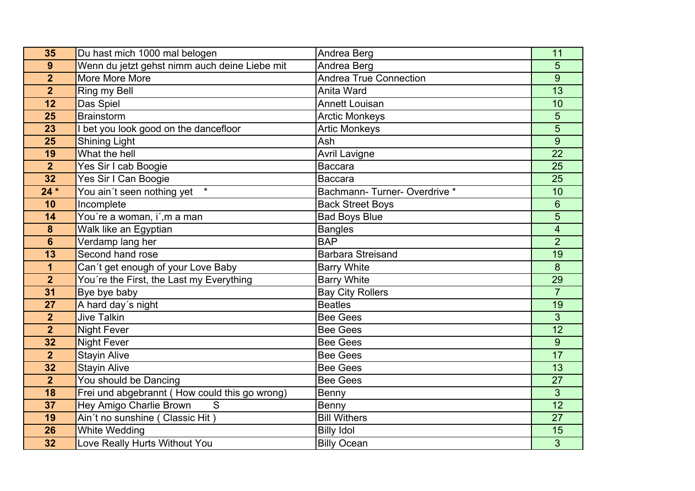| 35                      | Du hast mich 1000 mal belogen                 | Andrea Berg                   | 11              |
|-------------------------|-----------------------------------------------|-------------------------------|-----------------|
| 9                       | Wenn du jetzt gehst nimm auch deine Liebe mit | Andrea Berg                   | 5               |
| $\overline{2}$          | More More More                                | <b>Andrea True Connection</b> | 9               |
| $\overline{\mathbf{2}}$ | Ring my Bell                                  | Anita Ward                    | $\overline{13}$ |
| 12                      | Das Spiel                                     | <b>Annett Louisan</b>         | 10              |
| 25                      | <b>Brainstorm</b>                             | <b>Arctic Monkeys</b>         | 5               |
| 23                      | I bet you look good on the dancefloor         | <b>Artic Monkeys</b>          | $\overline{5}$  |
| 25                      | <b>Shining Light</b>                          | Ash                           | 9               |
| 19                      | What the hell                                 | <b>Avril Lavigne</b>          | 22              |
| $\overline{2}$          | Yes Sir I cab Boogie                          | Baccara                       | 25              |
| 32                      | Yes Sir I Can Boogie                          | Baccara                       | 25              |
| $24*$                   | $\star$<br>You ain't seen nothing yet         | Bachmann-Turner-Overdrive *   | 10              |
| 10                      | Incomplete                                    | <b>Back Street Boys</b>       | $6\phantom{1}$  |
| 14                      | You're a woman, i',m a man                    | <b>Bad Boys Blue</b>          | 5               |
| 8                       | Walk like an Egyptian                         | <b>Bangles</b>                | 4               |
| $6\phantom{1}$          | Verdamp lang her                              | <b>BAP</b>                    | $\overline{2}$  |
| 13                      | Second hand rose                              | <b>Barbara Streisand</b>      | 19              |
| 1                       | Can't get enough of your Love Baby            | <b>Barry White</b>            | 8               |
| $\overline{2}$          | You're the First, the Last my Everything      | <b>Barry White</b>            | 29              |
| 31                      | Bye bye baby                                  | <b>Bay City Rollers</b>       | $\overline{7}$  |
| $\overline{27}$         | A hard day's night                            | <b>Beatles</b>                | 19              |
| $\overline{2}$          | <b>Jive Talkin</b>                            | <b>Bee Gees</b>               | 3               |
| $\overline{2}$          | <b>Night Fever</b>                            | <b>Bee Gees</b>               | 12              |
| 32                      | <b>Night Fever</b>                            | <b>Bee Gees</b>               | 9               |
| $\overline{2}$          | <b>Stayin Alive</b>                           | <b>Bee Gees</b>               | 17              |
| 32                      | <b>Stayin Alive</b>                           | <b>Bee Gees</b>               | 13              |
| $\overline{2}$          | You should be Dancing                         | <b>Bee Gees</b>               | 27              |
| 18                      | Frei und abgebrannt (How could this go wrong) | Benny                         | 3               |
| 37                      | S<br>Hey Amigo Charlie Brown                  | Benny                         | 12              |
| 19                      | Ain't no sunshine (Classic Hit)               | <b>Bill Withers</b>           | 27              |
| 26                      | White Wedding                                 | <b>Billy Idol</b>             | 15              |
| 32                      | Love Really Hurts Without You                 | <b>Billy Ocean</b>            | 3               |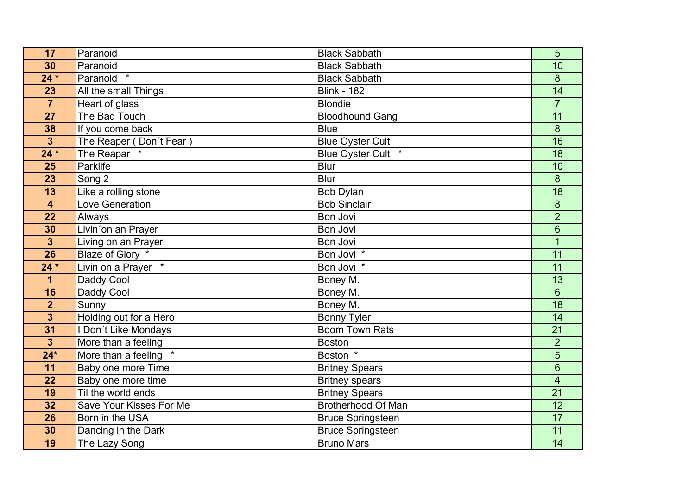| 17                      | Paranoid                | <b>Black Sabbath</b>      | 5                       |
|-------------------------|-------------------------|---------------------------|-------------------------|
| 30                      | Paranoid                | <b>Black Sabbath</b>      | 10                      |
| $24*$                   | Paranoid *              | <b>Black Sabbath</b>      | 8                       |
| 23                      | All the small Things    | <b>Blink - 182</b>        | $\overline{14}$         |
| $\overline{7}$          | Heart of glass          | <b>Blondie</b>            | $\overline{7}$          |
| 27                      | The Bad Touch           | <b>Bloodhound Gang</b>    | 11                      |
| 38                      | If you come back        | <b>Blue</b>               | 8                       |
| $\overline{\mathbf{3}}$ | The Reaper (Don't Fear) | <b>Blue Oyster Cult</b>   | 16                      |
| $24*$                   | The Reapar *            | Blue Oyster Cult *        | 18                      |
| 25                      | Parklife                | Blur                      | 10                      |
| $\overline{23}$         | Song 2                  | <b>Blur</b>               | $\delta$                |
| 13                      | Like a rolling stone    | <b>Bob Dylan</b>          | 18                      |
| $\overline{\mathbf{4}}$ | Love Generation         | <b>Bob Sinclair</b>       | $\bf 8$                 |
| 22                      | Always                  | Bon Jovi                  | $\overline{2}$          |
| 30                      | Livin'on an Prayer      | Bon Jovi                  | 6                       |
| $\mathbf{3}$            | Living on an Prayer     | Bon Jovi                  | 1                       |
| 26                      | Blaze of Glory *        | Bon Jovi <sup>*</sup>     | 11                      |
| $24*$                   | Livin on a Prayer *     | Bon Jovi *                | 11                      |
| $\mathbf 1$             | Daddy Cool              | Boney M.                  | 13                      |
| 16                      | Daddy Cool              | Boney M.                  | $6\phantom{1}$          |
| $\overline{2}$          | Sunny                   | Boney M.                  | $\overline{18}$         |
| $\overline{\mathbf{3}}$ | Holding out for a Hero  | <b>Bonny Tyler</b>        | 14                      |
| 31                      | I Don't Like Mondays    | Boom Town Rats            | 21                      |
| $\overline{3}$          | More than a feeling     | Boston                    | $\overline{2}$          |
| $24*$                   | More than a feeling     | Boston <sup>*</sup>       | 5                       |
| 11                      | Baby one more Time      | <b>Britney Spears</b>     | 6                       |
| 22                      | Baby one more time      | <b>Britney spears</b>     | $\overline{\mathbf{4}}$ |
| 19                      | Til the world ends      | <b>Britney Spears</b>     | 21                      |
| 32                      | Save Your Kisses For Me | <b>Brotherhood Of Man</b> | 12                      |
| 26                      | Born in the USA         | <b>Bruce Springsteen</b>  | 17                      |
| 30                      | Dancing in the Dark     | <b>Bruce Springsteen</b>  | 11                      |
| 19                      | The Lazy Song           | <b>Bruno Mars</b>         | 14                      |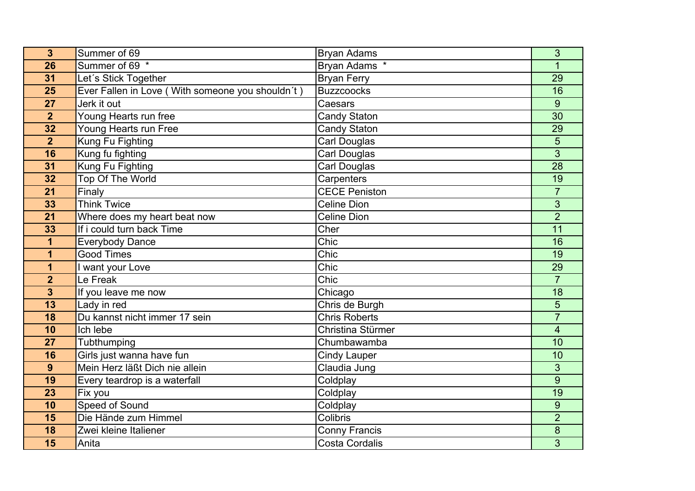| $\overline{3}$          | Summer of 69                                       | <b>Bryan Adams</b>    | 3                       |
|-------------------------|----------------------------------------------------|-----------------------|-------------------------|
| 26                      | Summer of 69 *                                     | Bryan Adams *         |                         |
| 31                      | Let's Stick Together                               | <b>Bryan Ferry</b>    | 29                      |
| 25                      | Ever Fallen in Love ( With someone you shouldn't ) | <b>Buzzcoocks</b>     | 16                      |
| 27                      | Jerk it out                                        | Caesars               | 9                       |
| $\overline{2}$          | Young Hearts run free                              | <b>Candy Staton</b>   | 30                      |
| 32                      | Young Hearts run Free                              | <b>Candy Staton</b>   | 29                      |
| $\overline{2}$          | Kung Fu Fighting                                   | <b>Carl Douglas</b>   | 5                       |
| 16                      | Kung fu fighting                                   | Carl Douglas          | $\overline{3}$          |
| 31                      | Kung Fu Fighting                                   | Carl Douglas          | 28                      |
| 32                      | Top Of The World                                   | Carpenters            | 19                      |
| 21                      | Finaly                                             | <b>CECE Peniston</b>  | $\overline{7}$          |
| 33                      | <b>Think Twice</b>                                 | <b>Celine Dion</b>    | 3                       |
| 21                      | Where does my heart beat now                       | <b>Celine Dion</b>    | $\overline{2}$          |
| 33                      | If i could turn back Time                          | Cher                  | $\overline{11}$         |
| $\mathbf 1$             | <b>Everybody Dance</b>                             | Chic                  | 16                      |
| 1                       | <b>Good Times</b>                                  | Chic                  | 19                      |
| 1                       | I want your Love                                   | Chic                  | 29                      |
| $\overline{2}$          | Le Freak                                           | Chic                  | $\overline{7}$          |
| $\overline{\mathbf{3}}$ | If you leave me now                                | Chicago               | 18                      |
| 13                      | Lady in red                                        | Chris de Burgh        | 5                       |
| 18                      | Du kannst nicht immer 17 sein                      | <b>Chris Roberts</b>  | $\overline{7}$          |
| 10                      | Ich lebe                                           | Christina Stürmer     | $\overline{\mathbf{4}}$ |
| 27                      | Tubthumping                                        | Chumbawamba           | 10                      |
| 16                      | Girls just wanna have fun                          | <b>Cindy Lauper</b>   | 10                      |
| 9                       | Mein Herz läßt Dich nie allein                     | Claudia Jung          | 3                       |
| 19                      | Every teardrop is a waterfall                      | Coldplay              | $\overline{9}$          |
| 23                      | Fix you                                            | Coldplay              | 19                      |
| 10                      | Speed of Sound                                     | Coldplay              | 9                       |
| 15                      | Die Hände zum Himmel                               | Colibris              | $\overline{2}$          |
| 18                      | Zwei kleine Italiener                              | <b>Conny Francis</b>  | 8                       |
| 15                      | Anita                                              | <b>Costa Cordalis</b> | 3                       |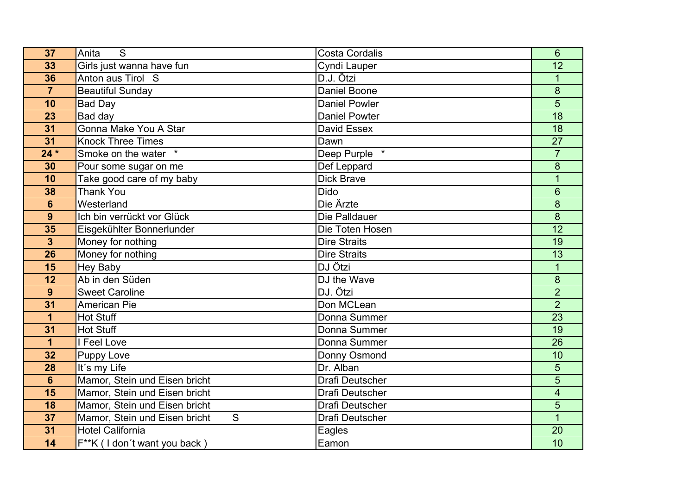| 37                      | S<br>Anita                         | <b>Costa Cordalis</b>  | 6               |
|-------------------------|------------------------------------|------------------------|-----------------|
| 33                      | Girls just wanna have fun          | Cyndi Lauper           | 12              |
| 36                      | Anton aus Tirol S                  | D.J. Ötzi              | 1               |
| $\overline{7}$          | <b>Beautiful Sunday</b>            | <b>Daniel Boone</b>    | $\overline{8}$  |
| 10                      | Bad Day                            | <b>Daniel Powler</b>   | 5               |
| 23                      | Bad day                            | <b>Daniel Powter</b>   | 18              |
| 31                      | Gonna Make You A Star              | David Essex            | 18              |
| 31                      | <b>Knock Three Times</b>           | Dawn                   | 27              |
| $24*$                   | Smoke on the water *               | Deep Purple<br>$\star$ | $\overline{7}$  |
| 30                      | Pour some sugar on me              | Def Leppard            | 8               |
| 10                      | Take good care of my baby          | <b>Dick Brave</b>      | 1               |
| 38                      | <b>Thank You</b>                   | <b>Dido</b>            | 6               |
| $6\phantom{1}$          | Westerland                         | Die Ärzte              | 8               |
| 9                       | Ich bin verrückt vor Glück         | Die Palldauer          | 8               |
| 35                      | Eisgekühlter Bonnerlunder          | Die Toten Hosen        | $\overline{12}$ |
| $\overline{\mathbf{3}}$ | Money for nothing                  | <b>Dire Straits</b>    | 19              |
| 26                      | Money for nothing                  | <b>Dire Straits</b>    | 13              |
| 15                      | <b>Hey Baby</b>                    | DJ Ötzi                | $\mathbf{1}$    |
| 12                      | Ab in den Süden                    | DJ the Wave            | 8               |
| 9                       | <b>Sweet Caroline</b>              | DJ. Ötzi               | $\overline{2}$  |
| 31                      | <b>American Pie</b>                | Don MCLean             | $\overline{2}$  |
| 1                       | <b>Hot Stuff</b>                   | Donna Summer           | $\overline{23}$ |
| 31                      | <b>Hot Stuff</b>                   | Donna Summer           | 19              |
| $\overline{1}$          | I Feel Love                        | Donna Summer           | 26              |
| 32                      | Puppy Love                         | Donny Osmond           | 10              |
| 28                      | It's my Life                       | Dr. Alban              | 5               |
| $6\phantom{1}$          | Mamor, Stein und Eisen bricht      | <b>Drafi Deutscher</b> | 5               |
| 15                      | Mamor, Stein und Eisen bricht      | Drafi Deutscher        | 4               |
| 18                      | Mamor, Stein und Eisen bricht      | <b>Drafi Deutscher</b> | 5               |
| 37                      | Mamor, Stein und Eisen bricht<br>S | Drafi Deutscher        |                 |
| 31                      | <b>Hotel California</b>            | Eagles                 | 20              |
| 14                      | F**K (I don't want you back)       | Eamon                  | 10              |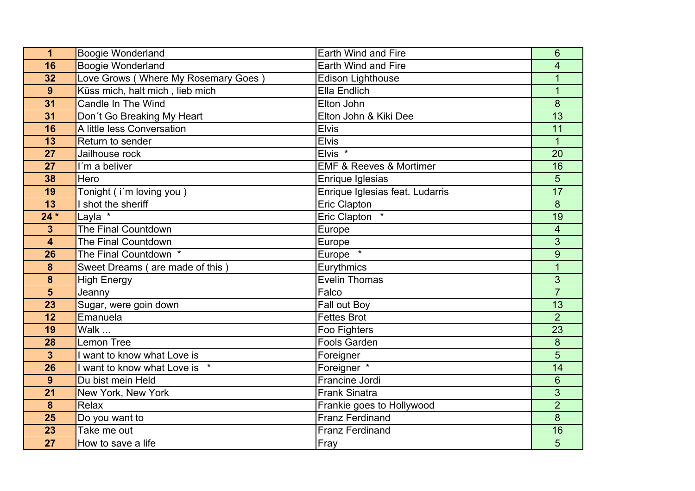| 1                       | <b>Boogie Wonderland</b>            | Earth Wind and Fire                    | 6                       |
|-------------------------|-------------------------------------|----------------------------------------|-------------------------|
| 16                      | Boogie Wonderland                   | Earth Wind and Fire                    | 4                       |
| 32                      | Love Grows (Where My Rosemary Goes) | <b>Edison Lighthouse</b>               | 1                       |
| 9                       | Küss mich, halt mich, lieb mich     | Ella Endlich                           | $\overline{1}$          |
| 31                      | Candle In The Wind                  | Elton John                             | 8                       |
| 31                      | Don't Go Breaking My Heart          | Elton John & Kiki Dee                  | 13                      |
| 16                      | A little less Conversation          | <b>Elvis</b>                           | 11                      |
| 13                      | Return to sender                    | <b>Elvis</b>                           | $\mathbf{1}$            |
| 27                      | Jailhouse rock                      | Elvis <sup>*</sup>                     | 20                      |
| 27                      | I'm a beliver                       | <b>EMF &amp; Reeves &amp; Mortimer</b> | 16                      |
| 38                      | Hero                                | Enrique Iglesias                       | 5                       |
| 19                      | Tonight (i'm loving you)            | Enrique Iglesias feat. Ludarris        | 17                      |
| 13                      | I shot the sheriff                  | Eric Clapton                           | 8                       |
| $24*$                   | Layla *                             | Eric Clapton *                         | 19                      |
| $\overline{\mathbf{3}}$ | The Final Countdown                 | Europe                                 | $\overline{\mathbf{4}}$ |
| $\overline{\mathbf{4}}$ | <b>The Final Countdown</b>          | Europe                                 | 3                       |
| 26                      | The Final Countdown *               | Europe *                               | 9                       |
| 8                       | Sweet Dreams (are made of this)     | Eurythmics                             | $\overline{1}$          |
| 8                       | <b>High Energy</b>                  | <b>Evelin Thomas</b>                   | 3                       |
| 5                       | Jeanny                              | Falco                                  | $\overline{7}$          |
| 23                      | Sugar, were goin down               | Fall out Boy                           | 13                      |
| 12                      | Emanuela                            | <b>Fettes Brot</b>                     | $\overline{2}$          |
| 19                      | Walk                                | Foo Fighters                           | 23                      |
| 28                      | <b>Lemon Tree</b>                   | <b>Fools Garden</b>                    | 8                       |
| $\overline{\mathbf{3}}$ | want to know what Love is           | Foreigner                              | 5                       |
| 26                      | I want to know what Love is *       | Foreigner *                            | 14                      |
| 9                       | Du bist mein Held                   | Francine Jordi                         | 6                       |
| 21                      | New York, New York                  | <b>Frank Sinatra</b>                   | 3                       |
| 8                       | Relax                               | Frankie goes to Hollywood              | $\overline{2}$          |
| 25                      | Do you want to                      | <b>Franz Ferdinand</b>                 | 8                       |
| 23                      | Take me out                         | <b>Franz Ferdinand</b>                 | 16                      |
| 27                      | How to save a life                  | Fray                                   | 5                       |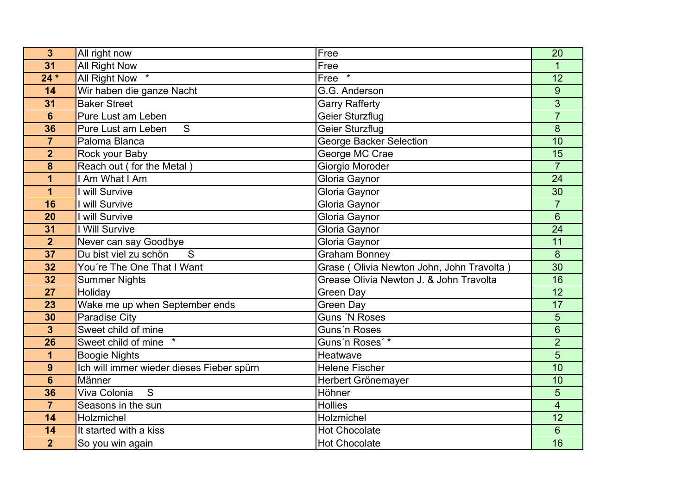| 3               | All right now                             | Free                                      | 20                       |
|-----------------|-------------------------------------------|-------------------------------------------|--------------------------|
| 31              | All Right Now                             | Free                                      | 1                        |
| $24*$           | All Right Now *                           | Free $\overline{f}$                       | 12                       |
| 14              | Wir haben die ganze Nacht                 | G.G. Anderson                             | $\overline{9}$           |
| 31              | <b>Baker Street</b>                       | <b>Garry Rafferty</b>                     | 3                        |
| $6\phantom{a}$  | Pure Lust am Leben                        | Geier Sturzflug                           | $\overline{7}$           |
| 36              | S<br>Pure Lust am Leben                   | <b>Geier Sturzflug</b>                    | 8                        |
| $\overline{7}$  | Paloma Blanca                             | <b>George Backer Selection</b>            | 10                       |
| $\overline{2}$  | Rock your Baby                            | George MC Crae                            | 15                       |
| 8               | Reach out (for the Metal)                 | Giorgio Moroder                           | $\overline{7}$           |
| 1               | I Am What I Am                            | Gloria Gaynor                             | 24                       |
| 1               | I will Survive                            | Gloria Gaynor                             | 30                       |
| 16              | will Survive                              | Gloria Gaynor                             | $\overline{7}$           |
| 20              | I will Survive                            | Gloria Gaynor                             | $6\phantom{1}$           |
| 31              | I Will Survive                            | Gloria Gaynor                             | $\overline{24}$          |
| $\overline{2}$  | Never can say Goodbye                     | Gloria Gaynor                             | 11                       |
| 37              | S<br>Du bist viel zu schön                | <b>Graham Bonney</b>                      | $\overline{8}$           |
| 32              | You're The One That I Want                | Grase (Olivia Newton John, John Travolta) | $\overline{30}$          |
| 32              | Summer Nights                             | Grease Olivia Newton J. & John Travolta   | 16                       |
| 27              | Holiday                                   | <b>Green Day</b>                          | 12                       |
| 23              | Wake me up when September ends            | <b>Green Day</b>                          | 17                       |
| 30              | <b>Paradise City</b>                      | <b>Guns 'N Roses</b>                      | 5                        |
| $\mathbf{3}$    | Sweet child of mine                       | Guns'n Roses                              | 6                        |
| 26              | Sweet child of mine                       | Guns'n Roses'*                            | $\overline{2}$           |
| 1               | <b>Boogie Nights</b>                      | Heatwave                                  | 5                        |
| 9               | Ich will immer wieder dieses Fieber spürn | <b>Helene Fischer</b>                     | 10                       |
| $6\phantom{1}6$ | Männer                                    | Herbert Grönemayer                        | 10                       |
| 36              | S<br>Viva Colonia                         | Höhner                                    | 5                        |
| $\overline{7}$  | Seasons in the sun                        | <b>Hollies</b>                            | $\overline{\mathcal{A}}$ |
| 14              | Holzmichel                                | Holzmichel                                | $\overline{12}$          |
| 14              | It started with a kiss                    | <b>Hot Chocolate</b>                      | 6                        |
| $\overline{2}$  | So you win again                          | <b>Hot Chocolate</b>                      | 16                       |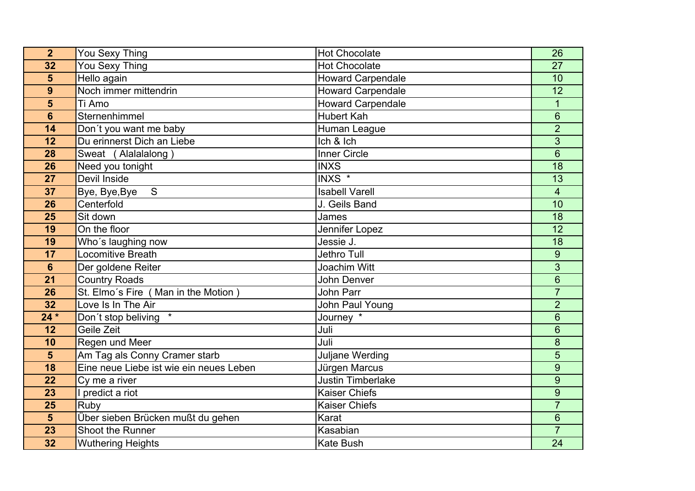| $\overline{2}$  | You Sexy Thing                          | <b>Hot Chocolate</b>     | 26              |
|-----------------|-----------------------------------------|--------------------------|-----------------|
| 32              | You Sexy Thing                          | <b>Hot Chocolate</b>     | 27              |
| 5               | Hello again                             | <b>Howard Carpendale</b> | 10              |
| 9               | Noch immer mittendrin                   | <b>Howard Carpendale</b> | $\overline{12}$ |
| 5               | Ti Amo                                  | <b>Howard Carpendale</b> | 1               |
| $6\phantom{1}6$ | Sternenhimmel                           | <b>Hubert Kah</b>        | $6\phantom{1}$  |
| 14              | Don't you want me baby                  | Human League             | $\overline{2}$  |
| 12              | Du erinnerst Dich an Liebe              | Ich & Ich                | 3               |
| 28              | Sweat (Alalalalong)                     | <b>Inner Circle</b>      | $6\phantom{1}$  |
| 26              | Need you tonight                        | <b>INXS</b>              | 18              |
| 27              | Devil Inside                            | INXS <sup>*</sup>        | 13              |
| 37              | S<br>Bye, Bye, Bye                      | <b>Isabell Varell</b>    | $\overline{4}$  |
| 26              | Centerfold                              | J. Geils Band            | 10              |
| 25              | Sit down                                | James                    | 18              |
| 19              | On the floor                            | Jennifer Lopez           | 12              |
| 19              | Who's laughing now                      | Jessie J.                | 18              |
| 17              | Locomitive Breath                       | Jethro Tull              | $9\,$           |
| $6\phantom{1}$  | Der goldene Reiter                      | Joachim Witt             | 3               |
| 21              | <b>Country Roads</b>                    | John Denver              | 6               |
| 26              | St. Elmo's Fire (Man in the Motion)     | John Parr                | $\overline{7}$  |
| 32              | Love Is In The Air                      | John Paul Young          | $\overline{2}$  |
| $24*$           | Don't stop beliving                     | Journey <sup>*</sup>     | 6               |
| 12              | Geile Zeit                              | Juli                     | $6\phantom{1}6$ |
| 10              | Regen und Meer                          | Juli                     | 8               |
| $5\phantom{1}$  | Am Tag als Conny Cramer starb           | Juljane Werding          | 5               |
| 18              | Eine neue Liebe ist wie ein neues Leben | Jürgen Marcus            | 9               |
| 22              | Cy me a river                           | Justin Timberlake        | 9               |
| 23              | I predict a riot                        | <b>Kaiser Chiefs</b>     | 9               |
| 25              | Ruby                                    | <b>Kaiser Chiefs</b>     | $\overline{7}$  |
| 5               | Über sieben Brücken mußt du gehen       | Karat                    | $6\phantom{1}6$ |
| 23              | Shoot the Runner                        | Kasabian                 | $\overline{7}$  |
| 32              | <b>Wuthering Heights</b>                | <b>Kate Bush</b>         | 24              |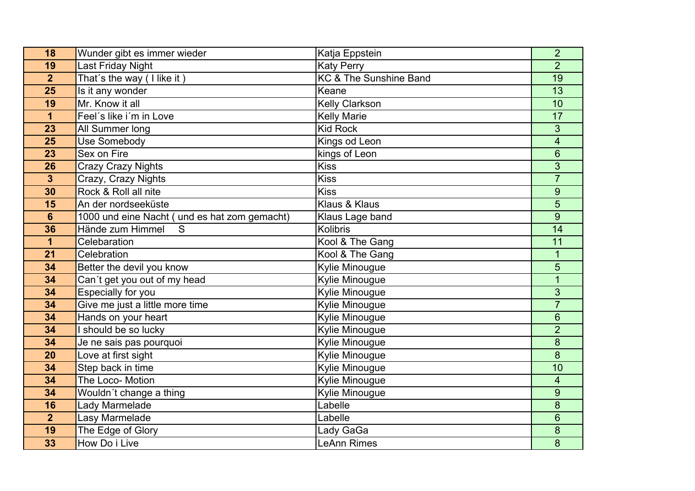| 18              | Wunder gibt es immer wieder                   | Katja Eppstein         | $\overline{2}$          |
|-----------------|-----------------------------------------------|------------------------|-------------------------|
| 19              | Last Friday Night                             | <b>Katy Perry</b>      | $\overline{2}$          |
| $\overline{2}$  | That's the way (I like it)                    | KC & The Sunshine Band | 19                      |
| 25              | Is it any wonder                              | Keane                  | $\overline{13}$         |
| 19              | Mr. Know it all                               | <b>Kelly Clarkson</b>  | 10                      |
| 1               | Feel's like i'm in Love                       | <b>Kelly Marie</b>     | 17                      |
| 23              | All Summer long                               | <b>Kid Rock</b>        | 3                       |
| 25              | <b>Use Somebody</b>                           | Kings od Leon          | $\overline{\mathbf{4}}$ |
| 23              | Sex on Fire                                   | kings of Leon          | 6                       |
| 26              | <b>Crazy Crazy Nights</b>                     | <b>Kiss</b>            | $\overline{3}$          |
| $\mathbf{3}$    | Crazy, Crazy Nights                           | <b>Kiss</b>            | $\overline{7}$          |
| 30              | Rock & Roll all nite                          | <b>Kiss</b>            | 9                       |
| 15              | An der nordseeküste                           | Klaus & Klaus          | 5                       |
| $6\phantom{1}6$ | 1000 und eine Nacht ( und es hat zom gemacht) | Klaus Lage band        | 9                       |
| 36              | Hände zum Himmel<br>S                         | <b>Kolibris</b>        | $\overline{14}$         |
| 1               | Celebaration                                  | Kool & The Gang        | 11                      |
| 21              | Celebration                                   | Kool & The Gang        | 1                       |
| 34              | Better the devil you know                     | Kylie Minougue         | 5                       |
| 34              | Can't get you out of my head                  | Kylie Minougue         |                         |
| 34              | Especially for you                            | Kylie Minougue         | 3                       |
| 34              | Give me just a little more time               | Kylie Minougue         | $\overline{7}$          |
| 34              | Hands on your heart                           | Kylie Minougue         | $6\phantom{1}6$         |
| 34              | should be so lucky                            | Kylie Minougue         | $\overline{2}$          |
| 34              | Je ne sais pas pourquoi                       | Kylie Minougue         | 8                       |
| 20              | Love at first sight                           | Kylie Minougue         | 8                       |
| 34              | Step back in time                             | Kylie Minougue         | 10                      |
| 34              | The Loco- Motion                              | Kylie Minougue         | 4                       |
| 34              | Wouldn't change a thing                       | Kylie Minougue         | 9                       |
| 16              | Lady Marmelade                                | Labelle                | 8                       |
| $\overline{2}$  | Lasy Marmelade                                | Labelle                | 6                       |
| 19              | The Edge of Glory                             | Lady GaGa              | 8                       |
| 33              | How Do i Live                                 | <b>LeAnn Rimes</b>     | 8                       |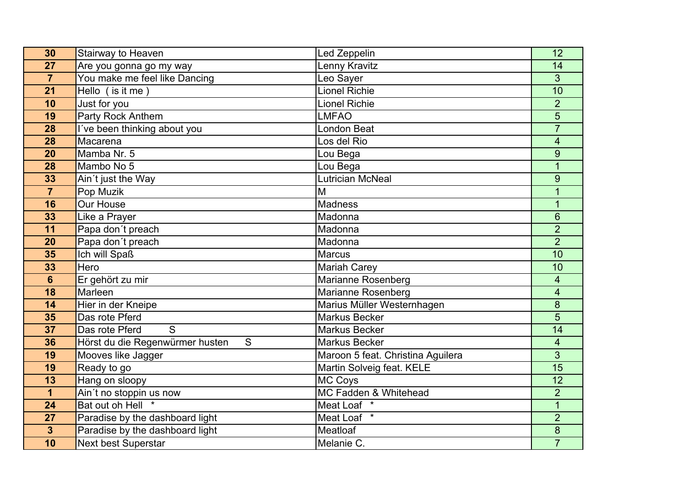| 30                      | Stairway to Heaven                   | Led Zeppelin                      | 12                       |
|-------------------------|--------------------------------------|-----------------------------------|--------------------------|
| 27                      | Are you gonna go my way              | Lenny Kravitz                     | 14                       |
| $\overline{7}$          | You make me feel like Dancing        | Leo Sayer                         | 3                        |
| 21                      | Hello (is it me)                     | <b>Lionel Richie</b>              | $\overline{10}$          |
| 10                      | Just for you                         | <b>Lionel Richie</b>              | $\overline{2}$           |
| 19                      | Party Rock Anthem                    | <b>LMFAO</b>                      | 5                        |
| 28                      | I've been thinking about you         | <b>London Beat</b>                | $\overline{7}$           |
| 28                      | Macarena                             | Los del Rio                       | 4                        |
| 20                      | Mamba Nr. 5                          | Lou Bega                          | 9                        |
| 28                      | Mambo No 5                           | Lou Bega                          | $\overline{1}$           |
| 33                      | Ain't just the Way                   | <b>Lutrician McNeal</b>           | 9                        |
| $\overline{7}$          | Pop Muzik                            | $\overline{M}$                    | $\overline{1}$           |
| 16                      | <b>Our House</b>                     | <b>Madness</b>                    | $\overline{1}$           |
| 33                      | Like a Prayer                        | Madonna                           | $6\phantom{1}$           |
| 11                      | Papa don't preach                    | Madonna                           | $\overline{2}$           |
| 20                      | Papa don't preach                    | Madonna                           | $\overline{2}$           |
| 35                      | Ich will Spaß                        | Marcus                            | 10                       |
| 33                      | Hero                                 | <b>Mariah Carey</b>               | 10                       |
| $6\phantom{1}$          | Er gehört zu mir                     | Marianne Rosenberg                | $\overline{\mathcal{A}}$ |
| 18                      | Marleen                              | Marianne Rosenberg                | 4                        |
| 14                      | Hier in der Kneipe                   | Marius Müller Westernhagen        | 8                        |
| 35                      | Das rote Pferd                       | <b>Markus Becker</b>              | 5                        |
| 37                      | S<br>Das rote Pferd                  | <b>Markus Becker</b>              | 14                       |
| 36                      | S<br>Hörst du die Regenwürmer husten | Markus Becker                     | 4                        |
| 19                      | Mooves like Jagger                   | Maroon 5 feat. Christina Aguilera | 3                        |
| 19                      | Ready to go                          | Martin Solveig feat. KELE         | 15                       |
| 13                      | Hang on sloopy                       | MC Coys                           | 12                       |
| $\overline{\mathbf{1}}$ | Ain't no stoppin us now              | MC Fadden & Whitehead             | $\overline{2}$           |
| 24                      | Bat out oh Hell                      | Meat Loaf <sup>*</sup>            | $\mathbf{1}$             |
| 27                      | Paradise by the dashboard light      | Meat Loaf *                       | $\overline{2}$           |
| $\overline{\mathbf{3}}$ | Paradise by the dashboard light      | Meatloaf                          | 8                        |
| 10                      | Next best Superstar                  | Melanie C.                        | $\overline{7}$           |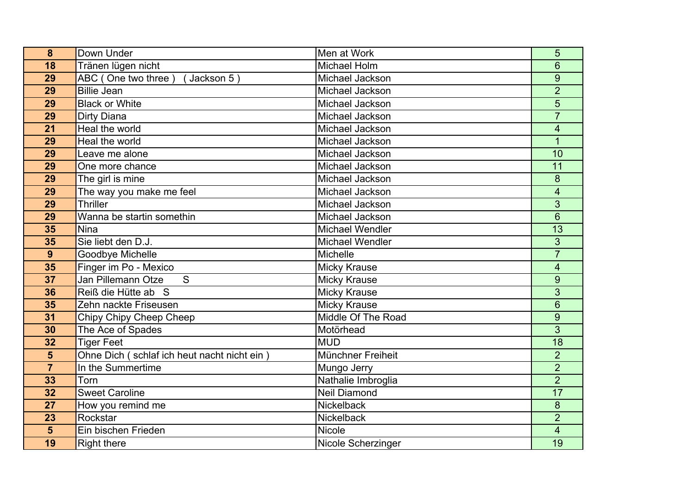| 8               | Down Under                                  | Men at Work         | 5                        |
|-----------------|---------------------------------------------|---------------------|--------------------------|
| 18              | Tränen lügen nicht                          | <b>Michael Holm</b> | 6                        |
| 29              | ABC (One two three)<br>Jackson 5)           | Michael Jackson     | 9                        |
| 29              | <b>Billie Jean</b>                          | Michael Jackson     | $\overline{2}$           |
| 29              | <b>Black or White</b>                       | Michael Jackson     | 5                        |
| 29              | Dirty Diana                                 | Michael Jackson     | $\overline{7}$           |
| 21              | Heal the world                              | Michael Jackson     | 4                        |
| 29              | Heal the world                              | Michael Jackson     | 1                        |
| 29              | Leave me alone                              | Michael Jackson     | 10                       |
| 29              | One more chance                             | Michael Jackson     | 11                       |
| 29              | The girl is mine                            | Michael Jackson     | 8                        |
| 29              | The way you make me feel                    | Michael Jackson     | 4                        |
| 29              | Thriller                                    | Michael Jackson     | 3                        |
| 29              | Wanna be startin somethin                   | Michael Jackson     | $6\phantom{1}$           |
| 35              | <b>Nina</b>                                 | Michael Wendler     | $\overline{13}$          |
| 35              | Sie liebt den D.J.                          | Michael Wendler     | 3                        |
| 9               | <b>Goodbye Michelle</b>                     | <b>Michelle</b>     | $\overline{7}$           |
| 35              | Finger im Po - Mexico                       | <b>Micky Krause</b> | $\overline{\mathcal{A}}$ |
| $\overline{37}$ | Jan Pillemann Otze<br>$\overline{S}$        | <b>Micky Krause</b> | 9                        |
| 36              | Reiß die Hütte ab S                         | <b>Micky Krause</b> | $\overline{3}$           |
| 35              | Zehn nackte Friseusen                       | <b>Micky Krause</b> | 6                        |
| 31              | Chipy Chipy Cheep Cheep                     | Middle Of The Road  | 9                        |
| 30              | The Ace of Spades                           | Motörhead           | 3                        |
| 32              | <b>Tiger Feet</b>                           | <b>MUD</b>          | $\overline{18}$          |
| 5               | Ohne Dich (schlaf ich heut nacht nicht ein) | Münchner Freiheit   | $\overline{2}$           |
| $\overline{7}$  | In the Summertime                           | Mungo Jerry         | $\overline{2}$           |
| 33              | Torn                                        | Nathalie Imbroglia  | $\overline{2}$           |
| 32              | <b>Sweet Caroline</b>                       | <b>Neil Diamond</b> | 17                       |
| 27              | How you remind me                           | <b>Nickelback</b>   | $\bf 8$                  |
| 23              | Rockstar                                    | Nickelback          | $\overline{2}$           |
| 5               | Ein bischen Frieden                         | Nicole              | $\overline{\mathbf{4}}$  |
| 19              | <b>Right there</b>                          | Nicole Scherzinger  | 19                       |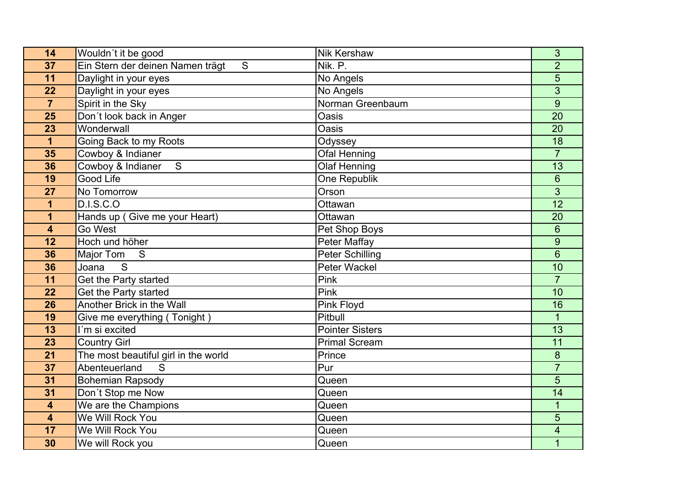| 14                      | Wouldn't it be good                   | <b>Nik Kershaw</b>     | 3                |
|-------------------------|---------------------------------------|------------------------|------------------|
| 37                      | Ein Stern der deinen Namen trägt<br>S | Nik. P.                | $\overline{2}$   |
| 11                      | Daylight in your eyes                 | No Angels              | 5                |
| 22                      | Daylight in your eyes                 | No Angels              | $\overline{3}$   |
| $\overline{7}$          | Spirit in the Sky                     | Norman Greenbaum       | 9                |
| 25                      | Don't look back in Anger              | Oasis                  | $\overline{20}$  |
| 23                      | Wonderwall                            | Oasis                  | 20               |
| 1                       | Going Back to my Roots                | Odyssey                | 18               |
| 35                      | Cowboy & Indianer                     | Ofal Henning           | $\overline{7}$   |
| 36                      | Cowboy & Indianer<br>$\overline{S}$   | <b>Olaf Henning</b>    | $\overline{13}$  |
| 19                      | Good Life                             | One Republik           | $6\phantom{1}$   |
| 27                      | No Tomorrow                           | Orson                  | 3                |
| 1                       | D.I.S.C.O                             | Ottawan                | $\overline{12}$  |
| 1                       | Hands up (Give me your Heart)         | Ottawan                | 20               |
| $\overline{\mathbf{4}}$ | Go West                               | Pet Shop Boys          | 6                |
| 12                      | Hoch und höher                        | Peter Maffay           | $\boldsymbol{9}$ |
| 36                      | Major Tom<br>S                        | <b>Peter Schilling</b> | $6\phantom{1}$   |
| 36                      | S<br>Joana                            | <b>Peter Wackel</b>    | 10               |
| 11                      | Get the Party started                 | Pink                   | $\overline{7}$   |
| 22                      | Get the Party started                 | Pink                   | 10               |
| 26                      | Another Brick in the Wall             | Pink Floyd             | 16               |
| 19                      | Give me everything (Tonight)          | Pitbull                | $\mathbf{1}$     |
| 13                      | I'm si excited                        | <b>Pointer Sisters</b> | 13               |
| 23                      | <b>Country Girl</b>                   | <b>Primal Scream</b>   | 11               |
| 21                      | The most beautiful girl in the world  | Prince                 | 8                |
| 37                      | Abenteuerland<br>S                    | Pur                    | $\overline{7}$   |
| 31                      | <b>Bohemian Rapsody</b>               | Queen                  | 5                |
| 31                      | Don't Stop me Now                     | Queen                  | 14               |
| $\overline{\mathbf{4}}$ | We are the Champions                  | Queen                  | 1                |
| $\overline{\mathbf{4}}$ | We Will Rock You                      | Queen                  | 5                |
| 17                      | We Will Rock You                      | Queen                  | 4                |
| 30                      | We will Rock you                      | Queen                  | 1                |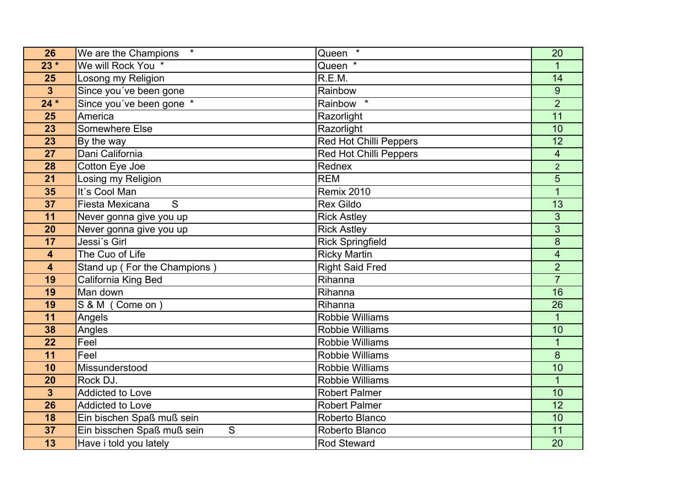| 26                      | $\star$<br>We are the Champions | $\star$<br>Queen              | 20             |
|-------------------------|---------------------------------|-------------------------------|----------------|
| $23 *$                  | We will Rock You *              | Queen *                       |                |
| 25                      | Losong my Religion              | R.E.M.                        | 14             |
| $\mathbf{3}$            | Since you've been gone          | Rainbow                       | 9              |
| $24*$                   | Since you've been gone *        | Rainbow *                     | $\overline{2}$ |
| 25                      | America                         | Razorlight                    | 11             |
| 23                      | Somewhere Else                  | Razorlight                    | 10             |
| 23                      | By the way                      | Red Hot Chilli Peppers        | 12             |
| 27                      | Dani California                 | <b>Red Hot Chilli Peppers</b> | $\overline{4}$ |
| 28                      | Cotton Eye Joe                  | Rednex                        | $\overline{2}$ |
| 21                      | Losing my Religion              | <b>REM</b>                    | 5              |
| 35                      | It's Cool Man                   | <b>Remix 2010</b>             | $\mathbf{1}$   |
| $\overline{37}$         | S<br>Fiesta Mexicana            | <b>Rex Gildo</b>              | 13             |
| 11                      | Never gonna give you up         | <b>Rick Astley</b>            | 3              |
| 20                      | Never gonna give you up         | <b>Rick Astley</b>            | $\overline{3}$ |
| 17                      | Jessi's Girl                    | <b>Rick Springfield</b>       | 8              |
| $\overline{\mathbf{4}}$ | The Cuo of Life                 | <b>Ricky Martin</b>           | 4              |
| 4                       | Stand up (For the Champions)    | Right Said Fred               | $\overline{2}$ |
| 19                      | California King Bed             | Rihanna                       | $\overline{7}$ |
| 19                      | Man down                        | Rihanna                       | 16             |
| 19                      | S & M (Come on)                 | Rihanna                       | 26             |
| 11                      | Angels                          | <b>Robbie Williams</b>        | $\mathbf{1}$   |
| 38                      | Angles                          | <b>Robbie Williams</b>        | 10             |
| 22                      | Feel                            | <b>Robbie Williams</b>        | $\mathbf{1}$   |
| 11                      | Feel                            | <b>Robbie Williams</b>        | 8              |
| 10                      | Missunderstood                  | <b>Robbie Williams</b>        | 10             |
| 20                      | Rock DJ.                        | Robbie Williams               | $\mathbf 1$    |
| $\mathbf{3}$            | <b>Addicted to Love</b>         | <b>Robert Palmer</b>          | 10             |
| 26                      | <b>Addicted to Love</b>         | <b>Robert Palmer</b>          | 12             |
| 18                      | Ein bischen Spaß muß sein       | Roberto Blanco                | 10             |
| 37                      | Ein bisschen Spaß muß sein<br>S | Roberto Blanco                | 11             |
| 13                      | Have i told you lately          | Rod Steward                   | 20             |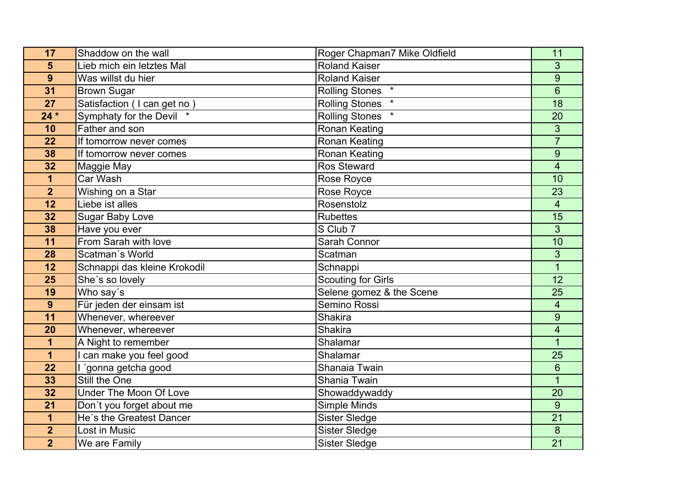| 17              | Shaddow on the wall           | Roger Chapman7 Mike Oldfield | 11                      |
|-----------------|-------------------------------|------------------------------|-------------------------|
| 5               | Lieb mich ein letztes Mal     | Roland Kaiser                | 3                       |
| 9               | Was willst du hier            | <b>Roland Kaiser</b>         | 9                       |
| $\overline{31}$ | <b>Brown Sugar</b>            | <b>Rolling Stones</b>        | $\overline{6}$          |
| 27              | Satisfaction (I can get no)   | <b>Rolling Stones</b>        | 18                      |
| $24*$           | Symphaty for the Devil *      | <b>Rolling Stones</b>        | 20                      |
| 10              | Father and son                | Ronan Keating                | 3                       |
| 22              | If tomorrow never comes       | Ronan Keating                | $\overline{7}$          |
| 38              | If tomorrow never comes       | Ronan Keating                | 9                       |
| 32              | Maggie May                    | <b>Ros Steward</b>           | $\overline{4}$          |
| 1               | Car Wash                      | Rose Royce                   | 10                      |
| $\overline{2}$  | Wishing on a Star             | Rose Royce                   | 23                      |
| 12              | Liebe ist alles               | Rosenstolz                   | $\overline{4}$          |
| 32              | <b>Sugar Baby Love</b>        | <b>Rubettes</b>              | 15                      |
| 38              | Have you ever                 | S Club 7                     | 3                       |
| 11              | From Sarah with love          | Sarah Connor                 | 10                      |
| 28              | Scatman's World               | Scatman                      | 3                       |
| 12              | Schnappi das kleine Krokodil  | Schnappi                     | $\overline{1}$          |
| 25              | She's so lovely               | <b>Scouting for Girls</b>    | 12                      |
| 19              | Who say's                     | Selene gomez & the Scene     | 25                      |
| 9               | Für jeden der einsam ist      | Semino Rossi                 | $\overline{\mathbf{4}}$ |
| 11              | Whenever, whereever           | <b>Shakira</b>               | 9                       |
| 20              | Whenever, whereever           | Shakira                      | 4                       |
| $\overline{1}$  | A Night to remember           | Shalamar                     | $\overline{1}$          |
| 1               | can make you feel good        | Shalamar                     | 25                      |
| 22              | 'gonna getcha good            | Shanaia Twain                | 6                       |
| 33              | Still the One                 | Shania Twain                 | $\overline{1}$          |
| 32              | <b>Under The Moon Of Love</b> | Showaddywaddy                | 20                      |
| 21              | Don't you forget about me     | Simple Minds                 | 9                       |
| 1               | He's the Greatest Dancer      | <b>Sister Sledge</b>         | $\overline{21}$         |
| $\overline{2}$  | Lost in Music                 | <b>Sister Sledge</b>         | 8                       |
| $\overline{2}$  | We are Family                 | <b>Sister Sledge</b>         | 21                      |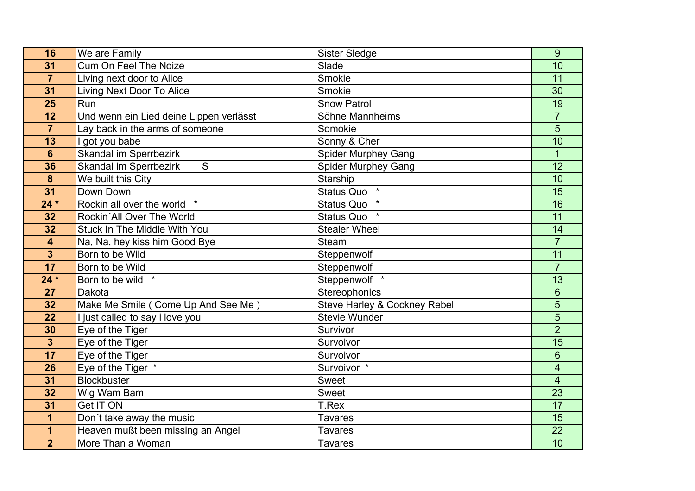| 16                      | We are Family                                  | <b>Sister Sledge</b>         | 9               |
|-------------------------|------------------------------------------------|------------------------------|-----------------|
| 31                      | <b>Cum On Feel The Noize</b>                   | Slade                        | 10              |
| $\overline{7}$          | Living next door to Alice                      | Smokie                       | 11              |
| 31                      | <b>Living Next Door To Alice</b>               | Smokie                       | $\overline{30}$ |
| 25                      | Run                                            | <b>Snow Patrol</b>           | 19              |
| 12                      | Und wenn ein Lied deine Lippen verlässt        | Söhne Mannheims              | $\overline{7}$  |
| $\overline{7}$          | Lay back in the arms of someone                | Somokie                      | 5               |
| 13                      | got you babe                                   | Sonny & Cher                 | 10              |
| $6\phantom{1}$          | Skandal im Sperrbezirk                         | <b>Spider Murphey Gang</b>   | $\mathbf{1}$    |
| 36                      | <b>Skandal im Sperrbezirk</b><br>${\mathsf S}$ | <b>Spider Murphey Gang</b>   | $\overline{12}$ |
| 8                       | We built this City                             | Starship                     | 10              |
| 31                      | Down Down                                      | Status Quo<br>$\star$        | $\overline{15}$ |
| $24*$                   | Rockin all over the world<br>$\star$           | $\star$<br><b>Status Quo</b> | 16              |
| 32                      | Rockin'All Over The World                      | Status Quo                   | 11              |
| 32                      | Stuck In The Middle With You                   | <b>Stealer Wheel</b>         | 14              |
| $\overline{\mathbf{4}}$ | Na, Na, hey kiss him Good Bye                  | <b>Steam</b>                 | $\overline{7}$  |
| $\overline{\mathbf{3}}$ | Born to be Wild                                | Steppenwolf                  | 11              |
| 17                      | Born to be Wild                                | Steppenwolf                  | $\overline{7}$  |
| $24*$                   | Born to be wild *                              | Steppenwolf *                | 13              |
| 27                      | Dakota                                         | Stereophonics                | $6\phantom{1}6$ |
| 32                      | Make Me Smile ( Come Up And See Me )           | Steve Harley & Cockney Rebel | 5               |
| 22                      | I just called to say i love you                | <b>Stevie Wunder</b>         | 5               |
| 30                      | Eye of the Tiger                               | Survivor                     | $\overline{2}$  |
| $\overline{\mathbf{3}}$ | Eye of the Tiger                               | Survoivor                    | 15              |
| 17                      | Eye of the Tiger                               | Survoivor                    | 6               |
| 26                      | Eye of the Tiger *                             | Survoivor *                  | 4               |
| 31                      | <b>Blockbuster</b>                             | <b>Sweet</b>                 | $\overline{4}$  |
| 32                      | Wig Wam Bam                                    | Sweet                        | 23              |
| 31                      | <b>Get IT ON</b>                               | T.Rex                        | 17              |
| 1                       | Don't take away the music                      | <b>Tavares</b>               | 15              |
| 1                       | Heaven mußt been missing an Angel              | <b>Tavares</b>               | 22              |
| $\overline{2}$          | More Than a Woman                              | <b>Tavares</b>               | 10              |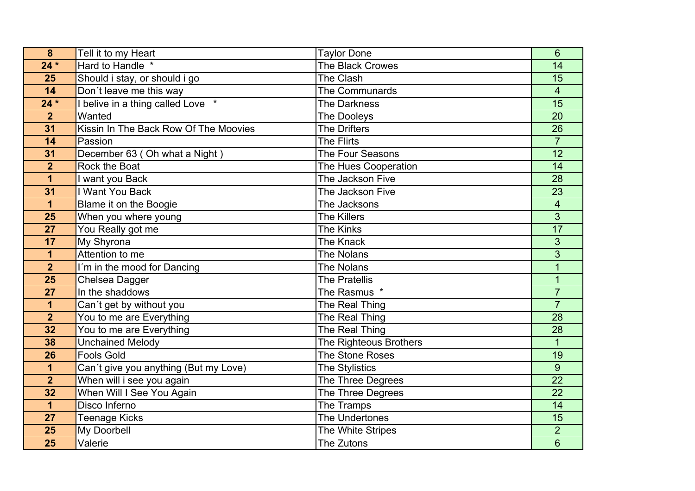| 8                       | Tell it to my Heart                      | <b>Taylor Done</b>      | 6                       |
|-------------------------|------------------------------------------|-------------------------|-------------------------|
| $24*$                   | Hard to Handle *                         | <b>The Black Crowes</b> | 14                      |
| 25                      | Should i stay, or should i go            | The Clash               | 15                      |
| $\overline{14}$         | Don't leave me this way                  | The Communards          | $\overline{\mathbf{4}}$ |
| $24*$                   | belive in a thing called Love *          | <b>The Darkness</b>     | 15                      |
| $\overline{2}$          | Wanted                                   | <b>The Dooleys</b>      | 20                      |
| 31                      | Kissin In The Back Row Of The Moovies    | <b>The Drifters</b>     | 26                      |
| 14                      | Passion                                  | <b>The Flirts</b>       | $\overline{7}$          |
| 31                      | December 63 (Oh what a Night)            | The Four Seasons        | 12                      |
| $\overline{2}$          | Rock the Boat                            | The Hues Cooperation    | 14                      |
| 1                       | want you Back                            | The Jackson Five        | 28                      |
| 31                      | I Want You Back                          | The Jackson Five        | 23                      |
| $\mathbf{1}$            | Blame it on the Boogie                   | The Jacksons            | 4                       |
| 25                      | When you where young                     | <b>The Killers</b>      | 3                       |
| 27                      | You Really got me                        | <b>The Kinks</b>        | $\overline{17}$         |
| 17                      | My Shyrona                               | The Knack               | 3                       |
| $\overline{\mathbf{1}}$ | Attention to me                          | The Nolans              | 3                       |
| $\overline{2}$          | $\overline{I'm}$ in the mood for Dancing | The Nolans              | $\overline{1}$          |
| 25                      | Chelsea Dagger                           | <b>The Pratellis</b>    | $\mathbf 1$             |
| 27                      | In the shaddows                          | The Rasmus *            | $\overline{7}$          |
| $\mathbf 1$             | Can't get by without you                 | The Real Thing          | $\overline{7}$          |
| $\overline{2}$          | You to me are Everything                 | The Real Thing          | 28                      |
| 32                      | You to me are Everything                 | The Real Thing          | 28                      |
| 38                      | <b>Unchained Melody</b>                  | The Righteous Brothers  | $\mathbf{1}$            |
| 26                      | <b>Fools Gold</b>                        | The Stone Roses         | 19                      |
| $\mathbf 1$             | Can't give you anything (But my Love)    | The Stylistics          | 9                       |
| $\overline{2}$          | When will i see you again                | The Three Degrees       | $\overline{22}$         |
| 32                      | When Will I See You Again                | The Three Degrees       | 22                      |
| $\mathbf 1$             | Disco Inferno                            | The Tramps              | 14                      |
| 27                      | <b>Teenage Kicks</b>                     | The Undertones          | $\overline{15}$         |
| 25                      | My Doorbell                              | The White Stripes       | $\overline{2}$          |
| 25                      | Valerie                                  | The Zutons              | 6                       |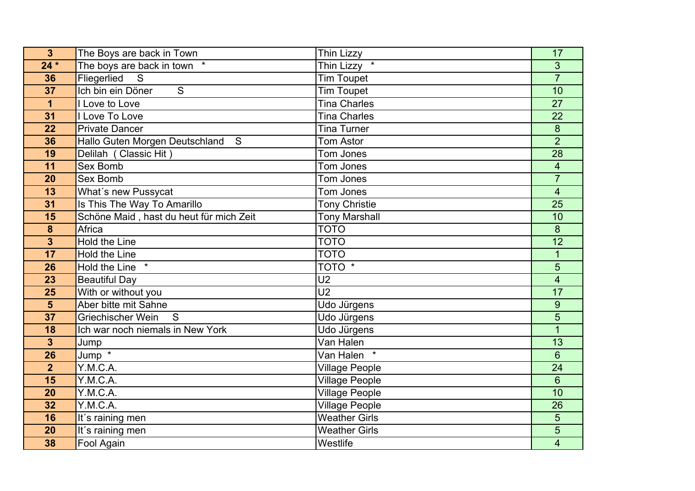| 3                       | The Boys are back in Town               | Thin Lizzy            | 17                       |
|-------------------------|-----------------------------------------|-----------------------|--------------------------|
| $24*$                   | The boys are back in town               | Thin Lizzy *          | 3                        |
| 36                      | Fliegerlied<br>S                        | <b>Tim Toupet</b>     | $\overline{7}$           |
| $\overline{37}$         | Ich bin ein Döner<br>$\overline{S}$     | <b>Tim Toupet</b>     | 10                       |
| $\mathbf 1$             | I Love to Love                          | <b>Tina Charles</b>   | 27                       |
| 31                      | I Love To Love                          | <b>Tina Charles</b>   | 22                       |
| 22                      | <b>Private Dancer</b>                   | <b>Tina Turner</b>    | 8                        |
| 36                      | Hallo Guten Morgen Deutschland S        | <b>Tom Astor</b>      | $\overline{2}$           |
| 19                      | Delilah (Classic Hit)                   | Tom Jones             | 28                       |
| 11                      | <b>Sex Bomb</b>                         | Tom Jones             | $\overline{\mathbf{4}}$  |
| 20                      | <b>Sex Bomb</b>                         | Tom Jones             | $\overline{7}$           |
| 13                      | What's new Pussycat                     | Tom Jones             | $\overline{4}$           |
| 31                      | Is This The Way To Amarillo             | <b>Tony Christie</b>  | $\overline{25}$          |
| 15                      | Schöne Maid, hast du heut für mich Zeit | <b>Tony Marshall</b>  | 10                       |
| 8                       | Africa                                  | <b>TOTO</b>           | 8                        |
| $\overline{\mathbf{3}}$ | <b>Hold the Line</b>                    | <b>TOTO</b>           | 12                       |
| 17                      | Hold the Line                           | <b>TOTO</b>           | 1                        |
| 26                      | Hold the Line                           | TOTO <sup>*</sup>     | 5                        |
| 23                      | Beautiful Day                           | $\overline{U}$        | $\overline{\mathbf{4}}$  |
| 25                      | With or without you                     | $\overline{U2}$       | 17                       |
| $\overline{\mathbf{5}}$ | Aber bitte mit Sahne                    | Udo Jürgens           | 9                        |
| 37                      | Griechischer Wein<br>S                  | Udo Jürgens           | 5                        |
| 18                      | Ich war noch niemals in New York        | Udo Jürgens           | 1                        |
| $\overline{3}$          | Jump                                    | Van Halen             | 13                       |
| 26                      | Jump *                                  | Van Halen *           | 6                        |
| $\overline{2}$          | Y.M.C.A.                                | <b>Village People</b> | 24                       |
| 15                      | Y.M.C.A.                                | <b>Village People</b> | $6\phantom{1}$           |
| 20                      | Y.M.C.A.                                | <b>Village People</b> | 10                       |
| 32                      | Y.M.C.A.                                | <b>Village People</b> | 26                       |
| 16                      | It's raining men                        | <b>Weather Girls</b>  | 5                        |
| 20                      | It's raining men                        | <b>Weather Girls</b>  | 5                        |
| 38                      | Fool Again                              | Westlife              | $\overline{\mathcal{A}}$ |